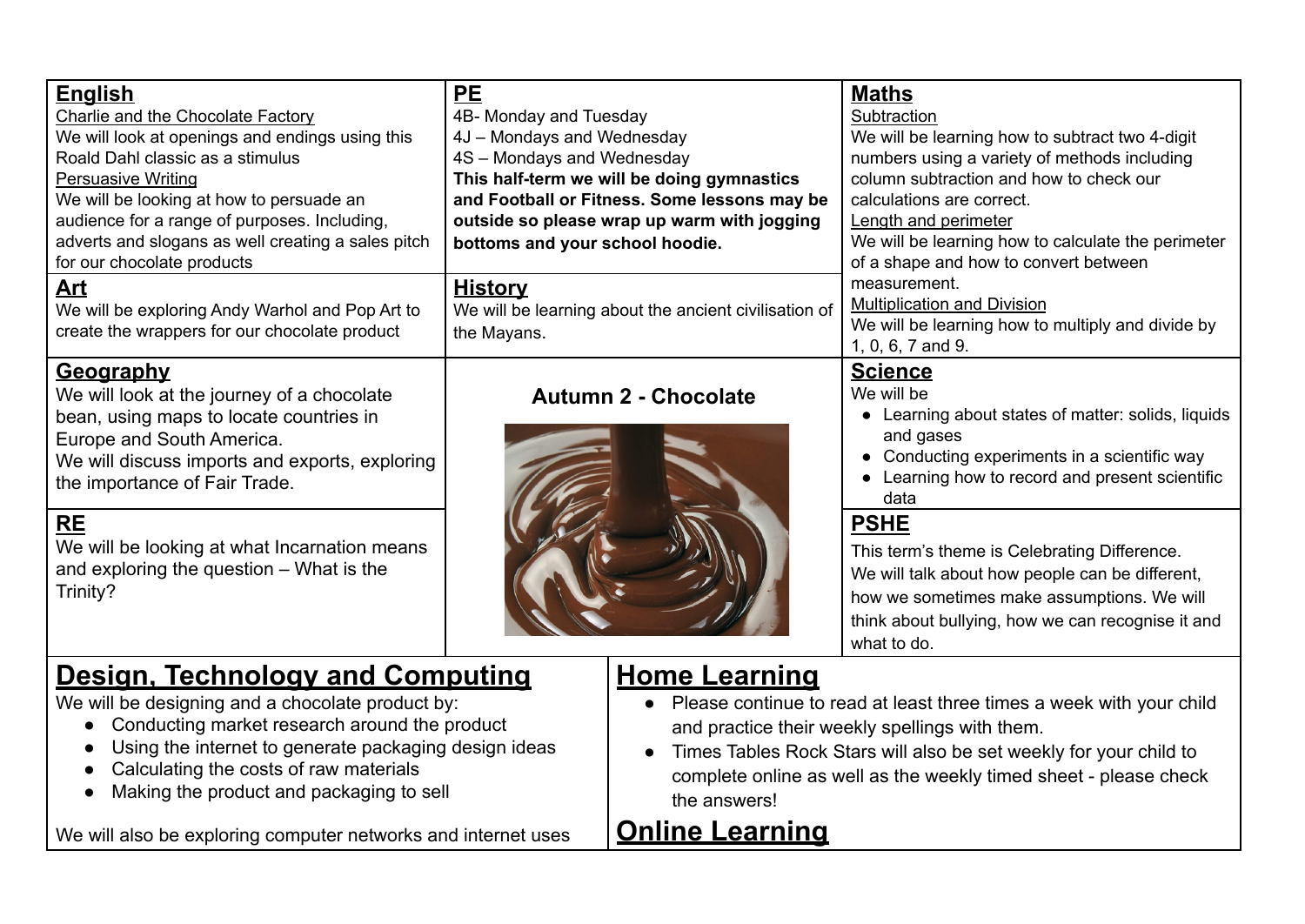| <b>English</b><br>Charlie and the Chocolate Factory<br>We will look at openings and endings using this<br>Roald Dahl classic as a stimulus<br><b>Persuasive Writing</b><br>We will be looking at how to persuade an<br>audience for a range of purposes. Including,<br>adverts and slogans as well creating a sales pitch<br>for our chocolate products | <b>PE</b><br>4B- Monday and Tuesday<br>4J - Mondays and Wednesday<br>4S - Mondays and Wednesday<br>This half-term we will be doing gymnastics<br>and Football or Fitness. Some lessons may be<br>outside so please wrap up warm with jogging<br>bottoms and your school hoodie. | <b>Maths</b><br>Subtraction<br>We will be learning how to subtract two 4-digit<br>numbers using a variety of methods including<br>column subtraction and how to check our<br>calculations are correct.<br>Length and perimeter<br>We will be learning how to calculate the perimeter<br>of a shape and how to convert between |
|---------------------------------------------------------------------------------------------------------------------------------------------------------------------------------------------------------------------------------------------------------------------------------------------------------------------------------------------------------|---------------------------------------------------------------------------------------------------------------------------------------------------------------------------------------------------------------------------------------------------------------------------------|-------------------------------------------------------------------------------------------------------------------------------------------------------------------------------------------------------------------------------------------------------------------------------------------------------------------------------|
| <u>Art</u><br>We will be exploring Andy Warhol and Pop Art to<br>create the wrappers for our chocolate product                                                                                                                                                                                                                                          | <b>History</b><br>We will be learning about the ancient civilisation of<br>the Mayans.                                                                                                                                                                                          | measurement.<br><b>Multiplication and Division</b><br>We will be learning how to multiply and divide by<br>1, 0, 6, 7 and 9.                                                                                                                                                                                                  |
| <b>Geography</b><br>We will look at the journey of a chocolate<br>bean, using maps to locate countries in<br>Europe and South America.<br>We will discuss imports and exports, exploring<br>the importance of Fair Trade.                                                                                                                               | <b>Autumn 2 - Chocolate</b>                                                                                                                                                                                                                                                     | <b>Science</b><br>We will be<br>• Learning about states of matter: solids, liquids<br>and gases<br>Conducting experiments in a scientific way<br>Learning how to record and present scientific<br>data                                                                                                                        |
| <b>RE</b><br>We will be looking at what Incarnation means<br>and exploring the question – What is the<br>Trinity?                                                                                                                                                                                                                                       |                                                                                                                                                                                                                                                                                 | <b>PSHE</b><br>This term's theme is Celebrating Difference.<br>We will talk about how people can be different,<br>how we sometimes make assumptions. We will<br>think about bullying, how we can recognise it and<br>what to do.                                                                                              |

## **Design, Technology and Computing**

We will be designing and a chocolate product by:

- Conducting market research around the product
- Using the internet to generate packaging design ideas
- Calculating the costs of raw materials
- Making the product and packaging to sell

We will also be exploring computer networks and internet uses

## **Home Learning**

- Please continue to read at least three times a week with your child and practice their weekly spellings with them.
- Times Tables Rock Stars will also be set weekly for your child to complete online as well as the weekly timed sheet - please check the answers!

## **Online Learning**